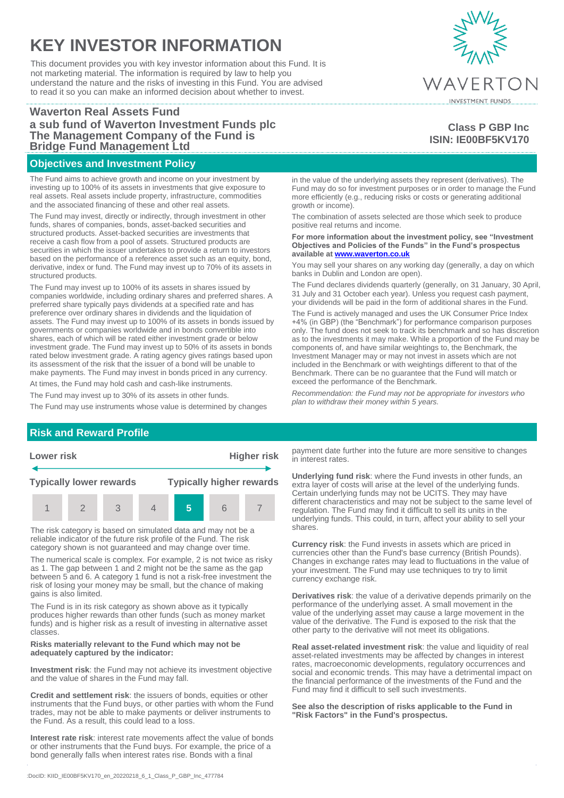# **KEY INVESTOR INFORMATION**

This document provides you with key investor information about this Fund. It is not marketing material. The information is required by law to help you understand the nature and the risks of investing in this Fund. You are advised to read it so you can make an informed decision about whether to invest.

### **Waverton Real Assets Fund a sub fund of Waverton Investment Funds plc The Management Company of the Fund is Bridge Fund Management Ltd**

### **Objectives and Investment Policy**

The Fund aims to achieve growth and income on your investment by investing up to 100% of its assets in investments that give exposure to real assets. Real assets include property, infrastructure, commodities and the associated financing of these and other real assets.

The Fund may invest, directly or indirectly, through investment in other funds, shares of companies, bonds, asset-backed securities and structured products. Asset-backed securities are investments that receive a cash flow from a pool of assets. Structured products are securities in which the issuer undertakes to provide a return to investors based on the performance of a reference asset such as an equity, bond, derivative, index or fund. The Fund may invest up to 70% of its assets in structured products.

The Fund may invest up to 100% of its assets in shares issued by companies worldwide, including ordinary shares and preferred shares. A preferred share typically pays dividends at a specified rate and has preference over ordinary shares in dividends and the liquidation of assets. The Fund may invest up to 100% of its assets in bonds issued by governments or companies worldwide and in bonds convertible into shares, each of which will be rated either investment grade or below investment grade. The Fund may invest up to 50% of its assets in bonds rated below investment grade. A rating agency gives ratings based upon its assessment of the risk that the issuer of a bond will be unable to make payments. The Fund may invest in bonds priced in any currency.

At times, the Fund may hold cash and cash-like instruments.

The Fund may invest up to 30% of its assets in other funds.

The Fund may use instruments whose value is determined by changes

in the value of the underlying assets they represent (derivatives). The Fund may do so for investment purposes or in order to manage the Fund more efficiently (e.g., reducing risks or costs or generating additional growth or income).

The combination of assets selected are those which seek to produce positive real returns and income.

### **For more information about the investment policy, see "Investment Objectives and Policies of the Funds" in the Fund's prospectus available a[t www.waverton.co.uk](http://www.waverton.co.uk/)**

You may sell your shares on any working day (generally, a day on which banks in Dublin and London are open).

The Fund declares dividends quarterly (generally, on 31 January, 30 April, 31 July and 31 October each year). Unless you request cash payment, your dividends will be paid in the form of additional shares in the Fund.

The Fund is actively managed and uses the UK Consumer Price Index +4% (in GBP) (the "Benchmark") for performance comparison purposes only. The fund does not seek to track its benchmark and so has discretion as to the investments it may make. While a proportion of the Fund may be components of, and have similar weightings to, the Benchmark, the Investment Manager may or may not invest in assets which are not included in the Benchmark or with weightings different to that of the Benchmark. There can be no guarantee that the Fund will match or exceed the performance of the Benchmark.

*Recommendation: the Fund may not be appropriate for investors who plan to withdraw their money within 5 years.*

### **Risk and Reward Profile**



The risk category is based on simulated data and may not be a reliable indicator of the future risk profile of the Fund. The risk category shown is not guaranteed and may change over time.

The numerical scale is complex. For example, 2 is not twice as risky as 1. The gap between 1 and 2 might not be the same as the gap between 5 and 6. A category 1 fund is not a risk-free investment the risk of losing your money may be small, but the chance of making gains is also limited.

The Fund is in its risk category as shown above as it typically produces higher rewards than other funds (such as money market funds) and is higher risk as a result of investing in alternative asset classes.

### **Risks materially relevant to the Fund which may not be adequately captured by the indicator:**

**Investment risk**: the Fund may not achieve its investment objective and the value of shares in the Fund may fall.

**Credit and settlement risk**: the issuers of bonds, equities or other instruments that the Fund buys, or other parties with whom the Fund trades, may not be able to make payments or deliver instruments to the Fund. As a result, this could lead to a loss.

**Interest rate risk**: interest rate movements affect the value of bonds or other instruments that the Fund buys. For example, the price of a bond generally falls when interest rates rise. Bonds with a final

payment date further into the future are more sensitive to changes in interest rates.

**Underlying fund risk**: where the Fund invests in other funds, an extra layer of costs will arise at the level of the underlying funds. Certain underlying funds may not be UCITS. They may have different characteristics and may not be subject to the same level of regulation. The Fund may find it difficult to sell its units in the underlying funds. This could, in turn, affect your ability to sell your shares.

**Currency risk**: the Fund invests in assets which are priced in currencies other than the Fund's base currency (British Pounds). Changes in exchange rates may lead to fluctuations in the value of your investment. The Fund may use techniques to try to limit currency exchange risk.

**Derivatives risk**: the value of a derivative depends primarily on the performance of the underlying asset. A small movement in the value of the underlying asset may cause a large movement in the value of the derivative. The Fund is exposed to the risk that the other party to the derivative will not meet its obligations.

**Real asset-related investment risk:** the value and liquidity of real asset-related investments may be affected by changes in interest rates, macroeconomic developments, regulatory occurrences and social and economic trends. This may have a detrimental impact on the financial performance of the investments of the Fund and the Fund may find it difficult to sell such investments.

**See also the description of risks applicable to the Fund in "Risk Factors" in the Fund's prospectus.**

WAVERTON **INVESTMENT FUNDS** 

## **Class P GBP Inc ISIN: IE00BF5KV170**